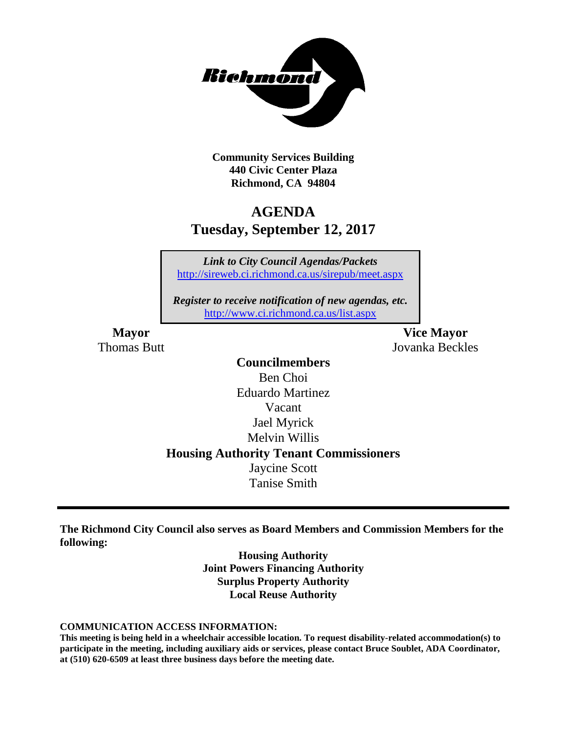

**Community Services Building 440 Civic Center Plaza Richmond, CA 94804**

### **AGENDA Tuesday, September 12, 2017**

*Link to City Council Agendas/Packets* <http://sireweb.ci.richmond.ca.us/sirepub/meet.aspx>

*Register to receive notification of new agendas, etc.* <http://www.ci.richmond.ca.us/list.aspx>

**Mayor Vice Mayor** Thomas Butt Jovanka Beckles

### **Councilmembers** Ben Choi Eduardo Martinez Vacant Jael Myrick Melvin Willis **Housing Authority Tenant Commissioners** Jaycine Scott Tanise Smith

**The Richmond City Council also serves as Board Members and Commission Members for the following:**

> **Housing Authority Joint Powers Financing Authority Surplus Property Authority Local Reuse Authority**

#### **COMMUNICATION ACCESS INFORMATION:**

**This meeting is being held in a wheelchair accessible location. To request disability-related accommodation(s) to participate in the meeting, including auxiliary aids or services, please contact Bruce Soublet, ADA Coordinator, at (510) 620-6509 at least three business days before the meeting date.**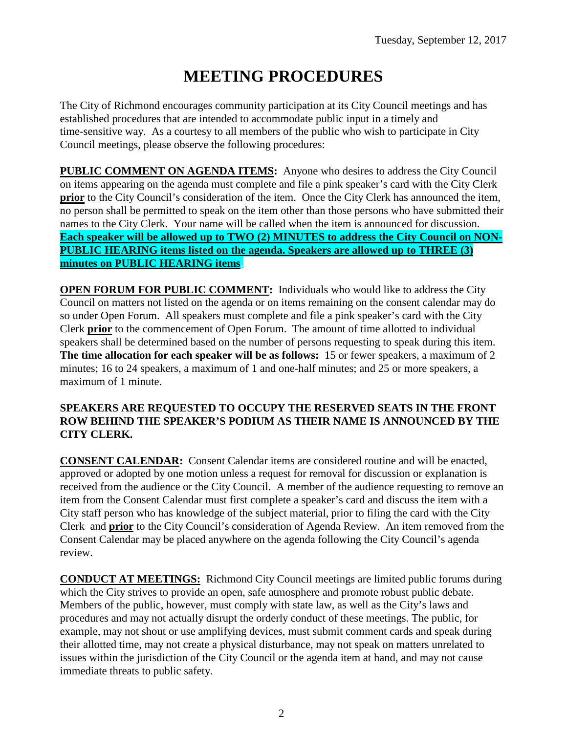# **MEETING PROCEDURES**

The City of Richmond encourages community participation at its City Council meetings and has established procedures that are intended to accommodate public input in a timely and time-sensitive way. As a courtesy to all members of the public who wish to participate in City Council meetings, please observe the following procedures:

**PUBLIC COMMENT ON AGENDA ITEMS:** Anyone who desires to address the City Council on items appearing on the agenda must complete and file a pink speaker's card with the City Clerk **prior** to the City Council's consideration of the item. Once the City Clerk has announced the item, no person shall be permitted to speak on the item other than those persons who have submitted their names to the City Clerk. Your name will be called when the item is announced for discussion. **Each speaker will be allowed up to TWO (2) MINUTES to address the City Council on NON-PUBLIC HEARING items listed on the agenda. Speakers are allowed up to THREE (3) minutes on PUBLIC HEARING items.**

**OPEN FORUM FOR PUBLIC COMMENT:** Individuals who would like to address the City Council on matters not listed on the agenda or on items remaining on the consent calendar may do so under Open Forum. All speakers must complete and file a pink speaker's card with the City Clerk **prior** to the commencement of Open Forum. The amount of time allotted to individual speakers shall be determined based on the number of persons requesting to speak during this item. **The time allocation for each speaker will be as follows:** 15 or fewer speakers, a maximum of 2 minutes; 16 to 24 speakers, a maximum of 1 and one-half minutes; and 25 or more speakers, a maximum of 1 minute.

### **SPEAKERS ARE REQUESTED TO OCCUPY THE RESERVED SEATS IN THE FRONT ROW BEHIND THE SPEAKER'S PODIUM AS THEIR NAME IS ANNOUNCED BY THE CITY CLERK.**

**CONSENT CALENDAR:** Consent Calendar items are considered routine and will be enacted, approved or adopted by one motion unless a request for removal for discussion or explanation is received from the audience or the City Council. A member of the audience requesting to remove an item from the Consent Calendar must first complete a speaker's card and discuss the item with a City staff person who has knowledge of the subject material, prior to filing the card with the City Clerk and **prior** to the City Council's consideration of Agenda Review. An item removed from the Consent Calendar may be placed anywhere on the agenda following the City Council's agenda review.

**CONDUCT AT MEETINGS:** Richmond City Council meetings are limited public forums during which the City strives to provide an open, safe atmosphere and promote robust public debate. Members of the public, however, must comply with state law, as well as the City's laws and procedures and may not actually disrupt the orderly conduct of these meetings. The public, for example, may not shout or use amplifying devices, must submit comment cards and speak during their allotted time, may not create a physical disturbance, may not speak on matters unrelated to issues within the jurisdiction of the City Council or the agenda item at hand, and may not cause immediate threats to public safety.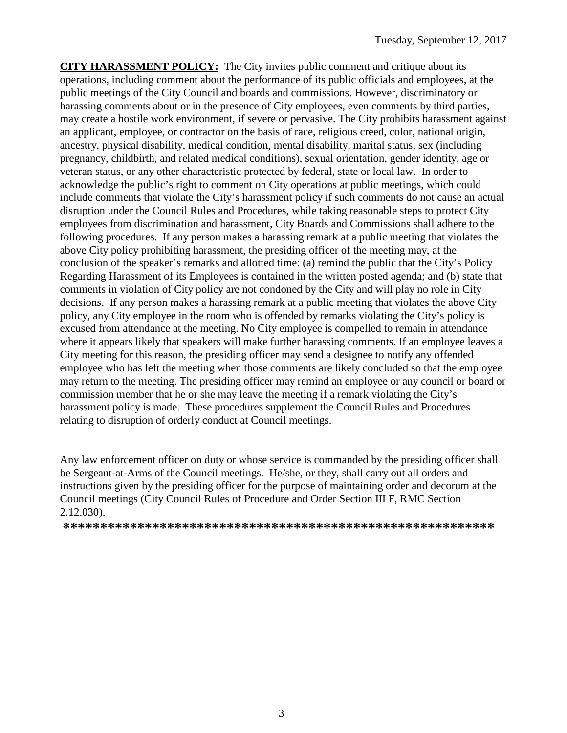**CITY HARASSMENT POLICY:** The City invites public comment and critique about its operations, including comment about the performance of its public officials and employees, at the public meetings of the City Council and boards and commissions. However, discriminatory or harassing comments about or in the presence of City employees, even comments by third parties, may create a hostile work environment, if severe or pervasive. The City prohibits harassment against an applicant, employee, or contractor on the basis of race, religious creed, color, national origin, ancestry, physical disability, medical condition, mental disability, marital status, sex (including pregnancy, childbirth, and related medical conditions), sexual orientation, gender identity, age or veteran status, or any other characteristic protected by federal, state or local law. In order to acknowledge the public's right to comment on City operations at public meetings, which could include comments that violate the City's harassment policy if such comments do not cause an actual disruption under the Council Rules and Procedures, while taking reasonable steps to protect City employees from discrimination and harassment, City Boards and Commissions shall adhere to the following procedures. If any person makes a harassing remark at a public meeting that violates the above City policy prohibiting harassment, the presiding officer of the meeting may, at the conclusion of the speaker's remarks and allotted time: (a) remind the public that the City's Policy Regarding Harassment of its Employees is contained in the written posted agenda; and (b) state that comments in violation of City policy are not condoned by the City and will play no role in City decisions. If any person makes a harassing remark at a public meeting that violates the above City policy, any City employee in the room who is offended by remarks violating the City's policy is excused from attendance at the meeting. No City employee is compelled to remain in attendance where it appears likely that speakers will make further harassing comments. If an employee leaves a City meeting for this reason, the presiding officer may send a designee to notify any offended employee who has left the meeting when those comments are likely concluded so that the employee may return to the meeting. The presiding officer may remind an employee or any council or board or commission member that he or she may leave the meeting if a remark violating the City's harassment policy is made. These procedures supplement the Council Rules and Procedures relating to disruption of orderly conduct at Council meetings.

Any law enforcement officer on duty or whose service is commanded by the presiding officer shall be Sergeant-at-Arms of the Council meetings. He/she, or they, shall carry out all orders and instructions given by the presiding officer for the purpose of maintaining order and decorum at the Council meetings (City Council Rules of Procedure and Order Section III F, RMC Section 2.12.030).

**\*\*\*\*\*\*\*\*\*\*\*\*\*\*\*\*\*\*\*\*\*\*\*\*\*\*\*\*\*\*\*\*\*\*\*\*\*\*\*\*\*\*\*\*\*\*\*\*\*\*\*\*\*\*\*\*\*\***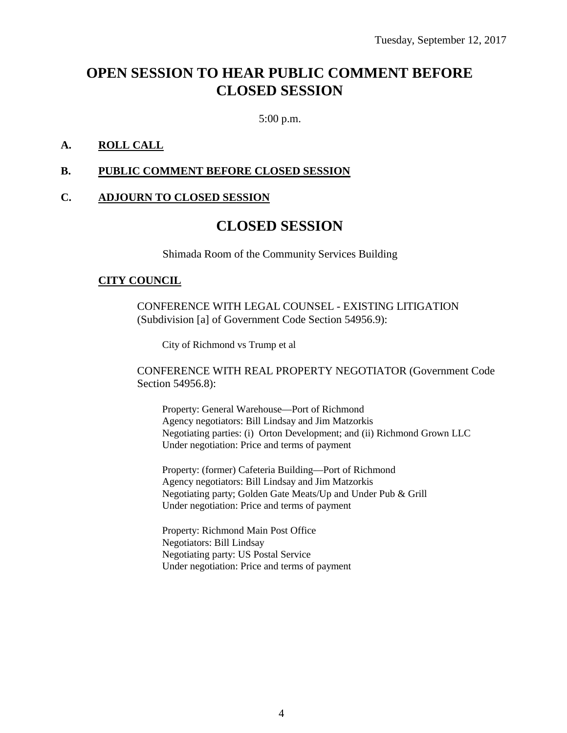## **OPEN SESSION TO HEAR PUBLIC COMMENT BEFORE CLOSED SESSION**

5:00 p.m.

### **A. ROLL CALL**

### **B. PUBLIC COMMENT BEFORE CLOSED SESSION**

### **C. ADJOURN TO CLOSED SESSION**

### **CLOSED SESSION**

Shimada Room of the Community Services Building

#### **CITY COUNCIL**

CONFERENCE WITH LEGAL COUNSEL - EXISTING LITIGATION (Subdivision [a] of Government Code Section 54956.9):

City of Richmond vs Trump et al

CONFERENCE WITH REAL PROPERTY NEGOTIATOR (Government Code Section 54956.8):

Property: General Warehouse—Port of Richmond Agency negotiators: Bill Lindsay and Jim Matzorkis Negotiating parties: (i) Orton Development; and (ii) Richmond Grown LLC Under negotiation: Price and terms of payment

Property: (former) Cafeteria Building—Port of Richmond Agency negotiators: Bill Lindsay and Jim Matzorkis Negotiating party; Golden Gate Meats/Up and Under Pub & Grill Under negotiation: Price and terms of payment

Property: Richmond Main Post Office Negotiators: Bill Lindsay Negotiating party: US Postal Service Under negotiation: Price and terms of payment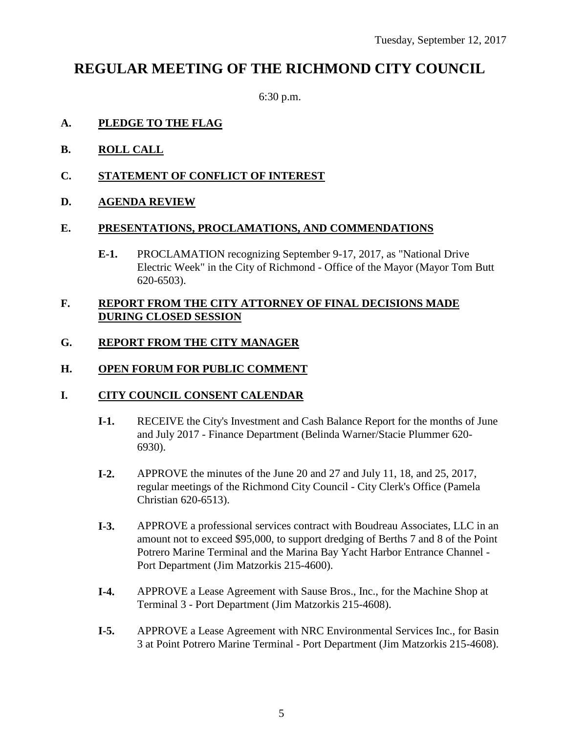### **REGULAR MEETING OF THE RICHMOND CITY COUNCIL**

6:30 p.m.

### **A. PLEDGE TO THE FLAG**

- **B. ROLL CALL**
- **C. STATEMENT OF CONFLICT OF INTEREST**
- **D. AGENDA REVIEW**

### **E. PRESENTATIONS, PROCLAMATIONS, AND COMMENDATIONS**

**E-1.** PROCLAMATION recognizing September 9-17, 2017, as "National Drive Electric Week" in the City of Richmond - Office of the Mayor (Mayor Tom Butt 620-6503).

### **F. REPORT FROM THE CITY ATTORNEY OF FINAL DECISIONS MADE DURING CLOSED SESSION**

### **G. REPORT FROM THE CITY MANAGER**

### **H. OPEN FORUM FOR PUBLIC COMMENT**

### **I. CITY COUNCIL CONSENT CALENDAR**

- **I-1.** RECEIVE the City's Investment and Cash Balance Report for the months of June and July 2017 - Finance Department (Belinda Warner/Stacie Plummer 620- 6930).
- **I-2.** APPROVE the minutes of the June 20 and 27 and July 11, 18, and 25, 2017, regular meetings of the Richmond City Council - City Clerk's Office (Pamela Christian 620-6513).
- **I-3.** APPROVE a professional services contract with Boudreau Associates, LLC in an amount not to exceed \$95,000, to support dredging of Berths 7 and 8 of the Point Potrero Marine Terminal and the Marina Bay Yacht Harbor Entrance Channel - Port Department (Jim Matzorkis 215-4600).
- **I-4.** APPROVE a Lease Agreement with Sause Bros., Inc., for the Machine Shop at Terminal 3 - Port Department (Jim Matzorkis 215-4608).
- **I-5.** APPROVE a Lease Agreement with NRC Environmental Services Inc., for Basin 3 at Point Potrero Marine Terminal - Port Department (Jim Matzorkis 215-4608).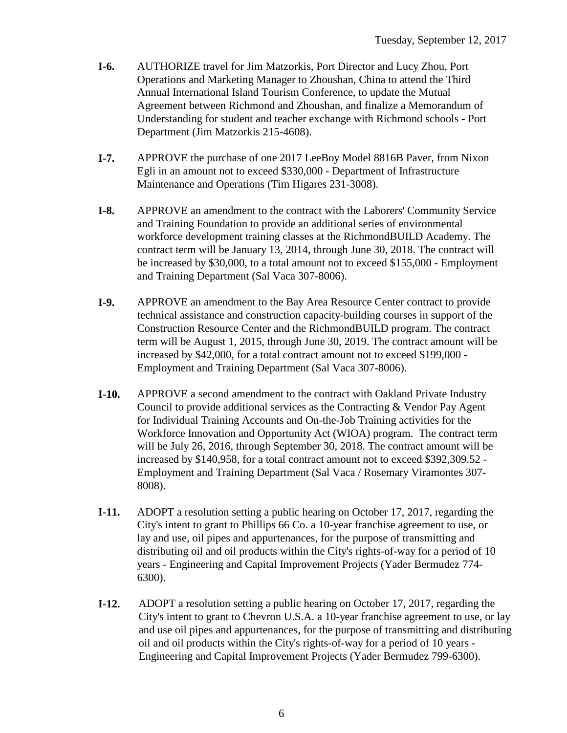- **I-6.** AUTHORIZE travel for Jim Matzorkis, Port Director and Lucy Zhou, Port Operations and Marketing Manager to Zhoushan, China to attend the Third Annual International Island Tourism Conference, to update the Mutual Agreement between Richmond and Zhoushan, and finalize a Memorandum of Understanding for student and teacher exchange with Richmond schools - Port Department (Jim Matzorkis 215-4608).
- **I-7.** APPROVE the purchase of one 2017 LeeBoy Model 8816B Paver, from Nixon Egli in an amount not to exceed \$330,000 - Department of Infrastructure Maintenance and Operations (Tim Higares 231-3008).
- **I-8.** APPROVE an amendment to the contract with the Laborers' Community Service and Training Foundation to provide an additional series of environmental workforce development training classes at the RichmondBUILD Academy. The contract term will be January 13, 2014, through June 30, 2018. The contract will be increased by \$30,000, to a total amount not to exceed \$155,000 - Employment and Training Department (Sal Vaca 307-8006).
- **I-9.** APPROVE an amendment to the Bay Area Resource Center contract to provide technical assistance and construction capacity-building courses in support of the Construction Resource Center and the RichmondBUILD program. The contract term will be August 1, 2015, through June 30, 2019. The contract amount will be increased by \$42,000, for a total contract amount not to exceed \$199,000 - Employment and Training Department (Sal Vaca 307-8006).
- **I-10.** APPROVE a second amendment to the contract with Oakland Private Industry Council to provide additional services as the Contracting & Vendor Pay Agent for Individual Training Accounts and On-the-Job Training activities for the Workforce Innovation and Opportunity Act (WIOA) program. The contract term will be July 26, 2016, through September 30, 2018. The contract amount will be increased by \$140,958, for a total contract amount not to exceed \$392,309.52 - Employment and Training Department (Sal Vaca / Rosemary Viramontes 307- 8008).
- **I-11.** ADOPT a resolution setting a public hearing on October 17, 2017, regarding the City's intent to grant to Phillips 66 Co. a 10-year franchise agreement to use, or lay and use, oil pipes and appurtenances, for the purpose of transmitting and distributing oil and oil products within the City's rights-of-way for a period of 10 years - Engineering and Capital Improvement Projects (Yader Bermudez 774- 6300).
- **I-12.** ADOPT a resolution setting a public hearing on October 17, 2017, regarding the City's intent to grant to Chevron U.S.A. a 10-year franchise agreement to use, or lay and use oil pipes and appurtenances, for the purpose of transmitting and distributing oil and oil products within the City's rights-of-way for a period of 10 years - Engineering and Capital Improvement Projects (Yader Bermudez 799-6300).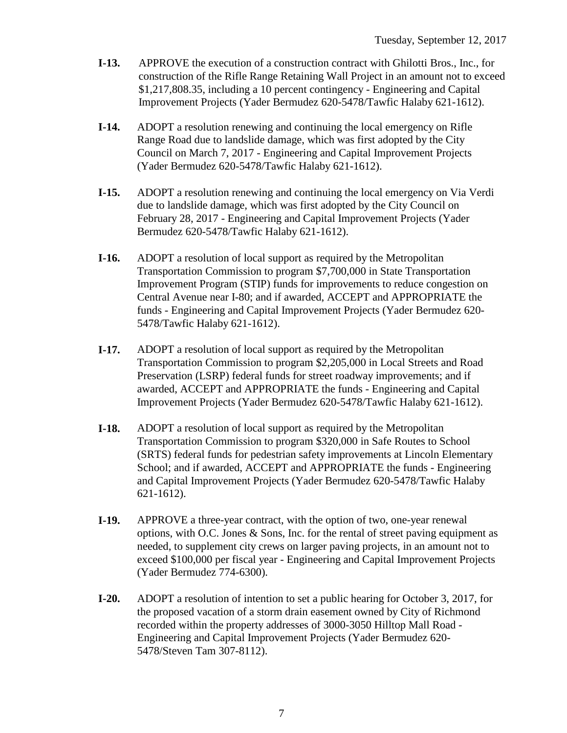- **I-13.** APPROVE the execution of a construction contract with Ghilotti Bros., Inc., for construction of the Rifle Range Retaining Wall Project in an amount not to exceed \$1,217,808.35, including a 10 percent contingency - Engineering and Capital Improvement Projects (Yader Bermudez 620-5478/Tawfic Halaby 621-1612).
- **I-14.** ADOPT a resolution renewing and continuing the local emergency on Rifle Range Road due to landslide damage, which was first adopted by the City Council on March 7, 2017 - Engineering and Capital Improvement Projects (Yader Bermudez 620-5478/Tawfic Halaby 621-1612).
- **I-15.** ADOPT a resolution renewing and continuing the local emergency on Via Verdi due to landslide damage, which was first adopted by the City Council on February 28, 2017 - Engineering and Capital Improvement Projects (Yader Bermudez 620-5478/Tawfic Halaby 621-1612).
- **I-16.** ADOPT a resolution of local support as required by the Metropolitan Transportation Commission to program \$7,700,000 in State Transportation Improvement Program (STIP) funds for improvements to reduce congestion on Central Avenue near I-80; and if awarded, ACCEPT and APPROPRIATE the funds - Engineering and Capital Improvement Projects (Yader Bermudez 620- 5478/Tawfic Halaby 621-1612).
- **I-17.** ADOPT a resolution of local support as required by the Metropolitan Transportation Commission to program \$2,205,000 in Local Streets and Road Preservation (LSRP) federal funds for street roadway improvements; and if awarded, ACCEPT and APPROPRIATE the funds - Engineering and Capital Improvement Projects (Yader Bermudez 620-5478/Tawfic Halaby 621-1612).
- **I-18.** ADOPT a resolution of local support as required by the Metropolitan Transportation Commission to program \$320,000 in Safe Routes to School (SRTS) federal funds for pedestrian safety improvements at Lincoln Elementary School; and if awarded, ACCEPT and APPROPRIATE the funds - Engineering and Capital Improvement Projects (Yader Bermudez 620-5478/Tawfic Halaby 621-1612).
- **I-19.** APPROVE a three-year contract, with the option of two, one-year renewal options, with O.C. Jones  $\&$  Sons, Inc. for the rental of street paving equipment as needed, to supplement city crews on larger paving projects, in an amount not to exceed \$100,000 per fiscal year - Engineering and Capital Improvement Projects (Yader Bermudez 774-6300).
- **I-20.** ADOPT a resolution of intention to set a public hearing for October 3, 2017, for the proposed vacation of a storm drain easement owned by City of Richmond recorded within the property addresses of 3000-3050 Hilltop Mall Road - Engineering and Capital Improvement Projects (Yader Bermudez 620- 5478/Steven Tam 307-8112).